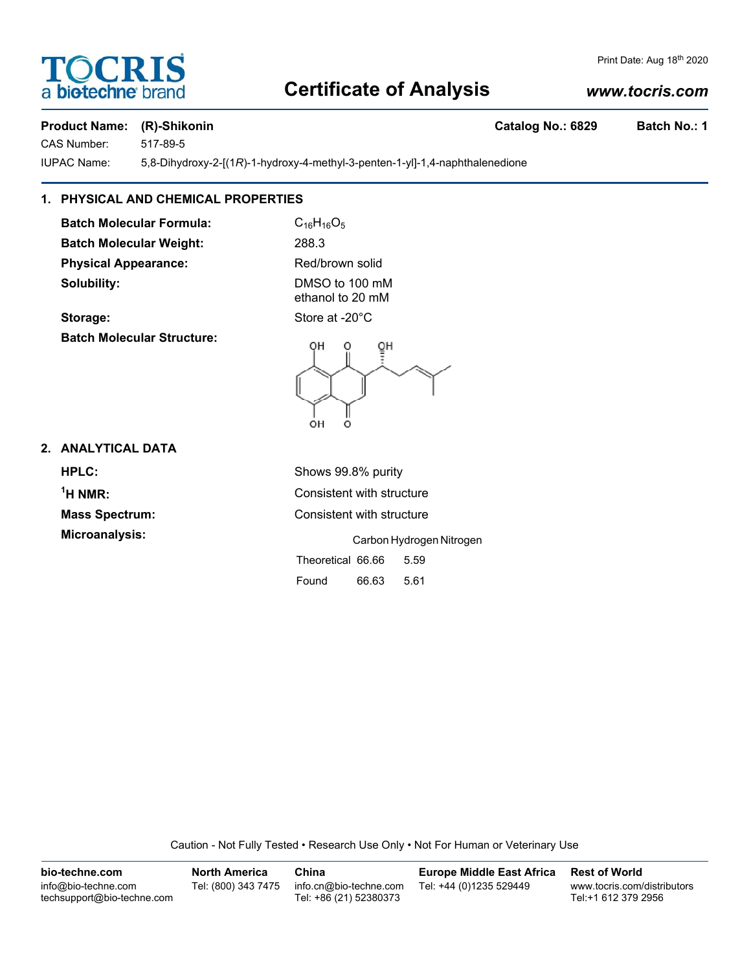# OCRIS a **biotechne** bi

#### Print Date: Aug 18th 2020

# **Certificate of Analysis**

# *www.tocris.com*

#### **Product Name: (R)-Shikonin Catalog No.: 6829 Batch No.: 1**

CAS Number: 517-89-5

IUPAC Name: 5,8-Dihydroxy-2-[(1*R*)-1-hydroxy-4-methyl-3-penten-1-yl]-1,4-naphthalenedione

## **1. PHYSICAL AND CHEMICAL PROPERTIES**

**Batch Molecular Formula:** C<sub>16</sub>H<sub>16</sub>O<sub>5</sub> **Batch Molecular Weight:** 288.3 **Physical Appearance:** Red/brown solid **Solubility:** DMSO to 100 mM

ethanol to 20 mM

**Storage:** Store at -20°C **Batch Molecular Structure:**



Found 66.63 5.61

## **2. ANALYTICAL DATA**

**HPLC:** Shows 99.8% purity  $<sup>1</sup>H NMR$ :</sup> **Consistent with structure Mass Spectrum:** Consistent with structure **Microanalysis:** Carbon Hydrogen Nitrogen Theoretical 66.66 5.59

Caution - Not Fully Tested • Research Use Only • Not For Human or Veterinary Use

| bio-techne.com                                    | <b>North America</b> | China                                            | <b>Europe Middle East Africa</b> | <b>Rest of World</b>                               |
|---------------------------------------------------|----------------------|--------------------------------------------------|----------------------------------|----------------------------------------------------|
| info@bio-techne.com<br>techsupport@bio-techne.com | Tel: (800) 343 7475  | info.cn@bio-techne.com<br>Tel: +86 (21) 52380373 | Tel: +44 (0)1235 529449          | www.tocris.com/distributors<br>Tel:+1 612 379 2956 |